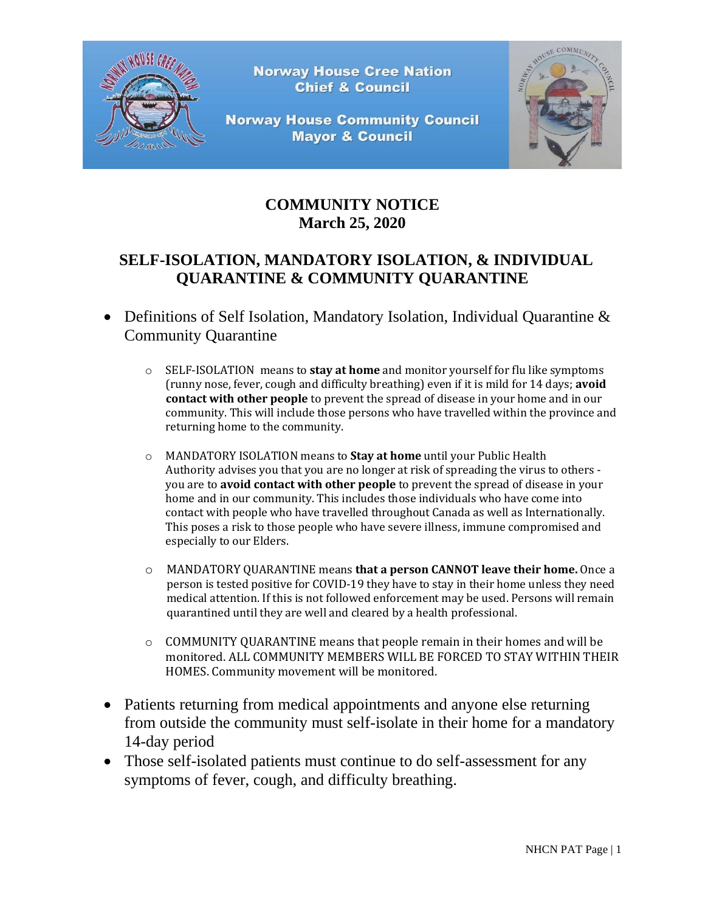

**Norway House Cree Nation Chief & Council** 

**Norway House Community Council Mayor & Council** 



## **COMMUNITY NOTICE March 25, 2020**

## **SELF-ISOLATION, MANDATORY ISOLATION, & INDIVIDUAL QUARANTINE & COMMUNITY QUARANTINE**

- Definitions of Self Isolation, Mandatory Isolation, Individual Quarantine & Community Quarantine
	- o SELF-ISOLATION means to **stay at home** and monitor yourself for flu like symptoms (runny nose, fever, cough and difficulty breathing) even if it is mild for 14 days; **avoid contact with other people** to prevent the spread of disease in your home and in our community. This will include those persons who have travelled within the province and returning home to the community.
	- o MANDATORY ISOLATION means to **Stay at home** until your Public Health Authority advises you that you are no longer at risk of spreading the virus to others you are to **avoid contact with other people** to prevent the spread of disease in your home and in our community. This includes those individuals who have come into contact with people who have travelled throughout Canada as well as Internationally. This poses a risk to those people who have severe illness, immune compromised and especially to our Elders.
	- o MANDATORY QUARANTINE means **that a person CANNOT leave their home.** Once a person is tested positive for COVID-19 they have to stay in their home unless they need medical attention. If this is not followed enforcement may be used. Persons will remain quarantined until they are well and cleared by a health professional.
	- $\circ$  COMMUNITY QUARANTINE means that people remain in their homes and will be monitored. ALL COMMUNITY MEMBERS WILL BE FORCED TO STAY WITHIN THEIR HOMES. Community movement will be monitored.
- Patients returning from medical appointments and anyone else returning from outside the community must self-isolate in their home for a mandatory 14-day period
- Those self-isolated patients must continue to do self-assessment for any symptoms of fever, cough, and difficulty breathing.